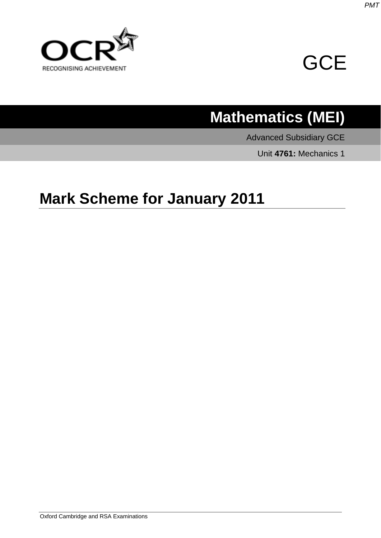



## **Mathematics (MEI)**

Advanced Subsidiary GCE

Unit **4761:** Mechanics 1

## **Mark Scheme for January 2011**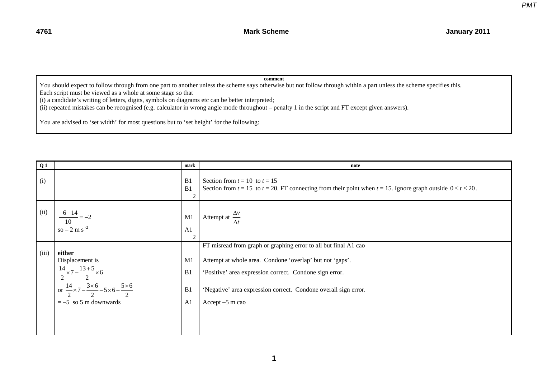## **comment**

You should expect to follow through from one part to another unless the scheme says otherwise but not follow through within a part unless the scheme specifies this. Each script must be viewed as a whole at some stage so that

(i) a candidate's writing of letters, digits, symbols on diagrams etc can be better interpreted;

(ii) repeated mistakes can be recognised (e.g. calculator in wrong angle mode throughout – penalty 1 in the script and FT except given answers).

You are advised to 'set width' for most questions but to 'set height' for the following:

| Q1    |                                                                                                                                                                                                    | mark                             | note                                                                                                                                                                                                                                                                         |
|-------|----------------------------------------------------------------------------------------------------------------------------------------------------------------------------------------------------|----------------------------------|------------------------------------------------------------------------------------------------------------------------------------------------------------------------------------------------------------------------------------------------------------------------------|
| (i)   |                                                                                                                                                                                                    | B1<br>B1<br>$\overline{2}$       | Section from $t = 10$ to $t = 15$<br>Section from $t = 15$ to $t = 20$ . FT connecting from their point when $t = 15$ . Ignore graph outside $0 \le t \le 20$ .                                                                                                              |
| (ii)  | $\frac{-6-14}{-2} = -2$<br>10<br>$so - 2 m s^{-2}$                                                                                                                                                 | M1<br>A1<br>$\overline{2}$       | Attempt at $\frac{\Delta v}{\Delta t}$                                                                                                                                                                                                                                       |
| (iii) | either<br>Displacement is<br>$\frac{14}{2} \times 7 - \frac{13+5}{2} \times 6$<br>or $\frac{14}{2} \times 7 - \frac{3 \times 6}{2} - 5 \times 6 - \frac{5 \times 6}{2}$<br>$= -5$ so 5 m downwards | M <sub>1</sub><br>B1<br>B1<br>A1 | FT misread from graph or graphing error to all but final A1 cao<br>Attempt at whole area. Condone 'overlap' but not 'gaps'.<br>'Positive' area expression correct. Condone sign error.<br>'Negative' area expression correct. Condone overall sign error.<br>Accept -5 m cao |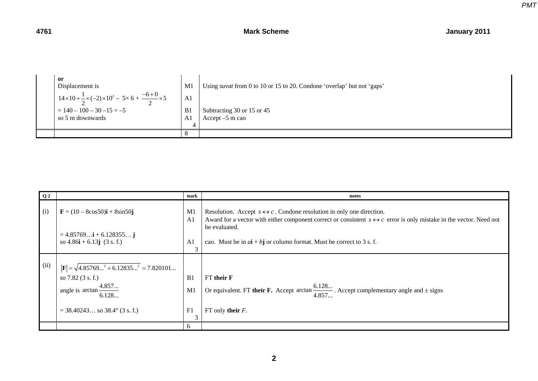| or<br>Displacement is                                                                           | M1             | Using <i>suvat</i> from 0 to 10 or 15 to 20. Condone 'overlap' but not 'gaps' |
|-------------------------------------------------------------------------------------------------|----------------|-------------------------------------------------------------------------------|
| 1 $14 \times 10 + \frac{1}{2} \times (-2) \times 10^2 - 5 \times 6 + \frac{-6 + 0}{2} \times 5$ | A1             |                                                                               |
| $= 140 - 100 - 30 - 15 = -5$                                                                    | B <sub>1</sub> | Subtracting 30 or 15 or 45                                                    |
| so 5 m downwards                                                                                | A.             | Accept $-5$ m cao                                                             |
|                                                                                                 |                |                                                                               |
|                                                                                                 |                |                                                                               |

| Q <sub>2</sub> |                                                                                                                                                                       | mark                             | notes                                                                                                                                                                                                                                       |
|----------------|-----------------------------------------------------------------------------------------------------------------------------------------------------------------------|----------------------------------|---------------------------------------------------------------------------------------------------------------------------------------------------------------------------------------------------------------------------------------------|
| (i)            | $F = (10 - 8\cos 50)i + 8\sin 50j$                                                                                                                                    | M <sub>1</sub><br>A <sub>1</sub> | Resolution. Accept $s \leftrightarrow c$ . Condone resolution in only one direction.<br>Award for a vector with either component correct or consistent $s \leftrightarrow c$ error is only mistake in the vector. Need not<br>be evaluated. |
|                | $= 4.85769$ <b>i</b> + 6.128355 <b>j</b><br>so $4.86\mathbf{i} + 6.13\mathbf{j}$ (3 s. f.)                                                                            | A <sub>1</sub><br>3              | cao. Must be in $a\mathbf{i} + b\mathbf{j}$ or column format. Must be correct to 3 s. f.                                                                                                                                                    |
| (ii)           | $ \mathbf{F}  = \sqrt{4.85769^2 + 6.12835^2} = 7.820101$<br>so $7.82$ (3 s. f.)<br>angle is $\arctan \frac{4.857}{6.128}$<br>$=$ 38.40243 so 38.4 $\degree$ (3 s. f.) | B1<br>M <sub>1</sub><br>F1<br>3  | FT their F<br>Or equivalent. FT their F. Accept arctan $\frac{6.128}{4.857}$ . Accept complementary angle and $\pm$ signs<br>FT only their $F$ .                                                                                            |
|                |                                                                                                                                                                       | 6                                |                                                                                                                                                                                                                                             |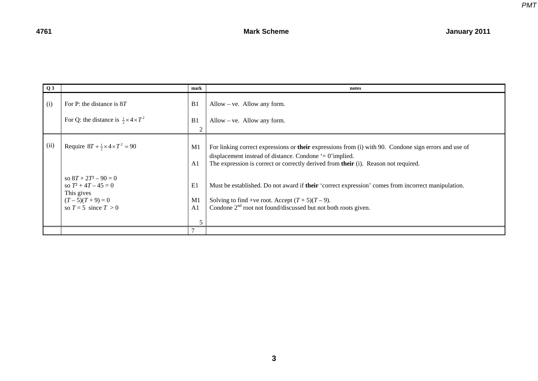| Q3   |                                                                                                                 | mark                                        | notes                                                                                                                                                                                                                                                           |
|------|-----------------------------------------------------------------------------------------------------------------|---------------------------------------------|-----------------------------------------------------------------------------------------------------------------------------------------------------------------------------------------------------------------------------------------------------------------|
| (i)  | For P: the distance is $8T$                                                                                     | B <sub>1</sub>                              | Allow – ve. Allow any form.                                                                                                                                                                                                                                     |
|      | For Q: the distance is $\frac{1}{2} \times 4 \times T^2$                                                        | B1<br>2                                     | Allow – ve. Allow any form.                                                                                                                                                                                                                                     |
| (ii) | Require $8T + \frac{1}{2} \times 4 \times T^2 = 90$                                                             | M1<br>A1                                    | For linking correct expressions or <b>their</b> expressions from (i) with 90. Condone sign errors and use of<br>displacement instead of distance. Condone $= 0$ implied.<br>The expression is correct or correctly derived from their (i). Reason not required. |
|      | so $8T + 2T^2 - 90 = 0$<br>so $T^2 + 4T - 45 = 0$<br>This gives<br>$(T-5)(T+9) = 0$<br>so $T = 5$ since $T > 0$ | E1<br>M <sub>1</sub><br>A <sub>1</sub><br>5 | Must be established. Do not award if their 'correct expression' comes from incorrect manipulation.<br>Solving to find +ve root. Accept $(T + 5)(T - 9)$ .<br>Condone $2nd$ root not found/discussed but not both roots given.                                   |
|      |                                                                                                                 |                                             |                                                                                                                                                                                                                                                                 |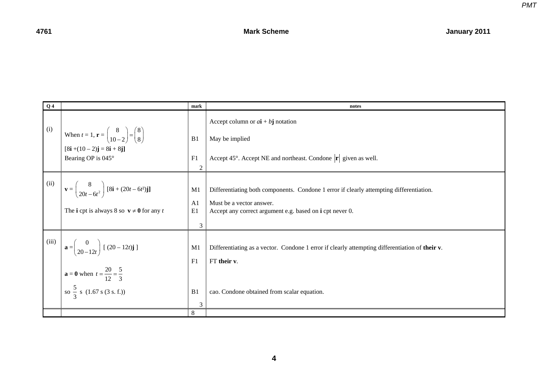

| Q <sub>4</sub> |                                                                                                                | mark           | notes                                                                                          |
|----------------|----------------------------------------------------------------------------------------------------------------|----------------|------------------------------------------------------------------------------------------------|
| (i)            | When $t = 1$ , $\mathbf{r} = \begin{pmatrix} 8 \\ 10 - 2 \end{pmatrix} = \begin{pmatrix} 8 \\ 8 \end{pmatrix}$ |                | Accept column or $a\mathbf{i} + b\mathbf{j}$ notation                                          |
|                |                                                                                                                | B1             | May be implied                                                                                 |
|                | $[8i + (10 - 2)j = 8i + 8j]$                                                                                   |                |                                                                                                |
|                | Bearing OP is 045°                                                                                             | F1             | Accept 45°. Accept NE and northeast. Condone $ \mathbf{r} $ given as well.                     |
|                |                                                                                                                | $\overline{2}$ |                                                                                                |
| (ii)           | $\mathbf{v} = \begin{pmatrix} 8 \\ 20t - 6t^2 \end{pmatrix} [8\mathbf{i} + (20t - 6t^2)\mathbf{j}]$            | M1             | Differentiating both components. Condone 1 error if clearly attempting differentiation.        |
|                |                                                                                                                | A <sub>1</sub> | Must be a vector answer.                                                                       |
|                | The <b>i</b> cpt is always 8 so $v \neq 0$ for any t                                                           | E1             | Accept any correct argument e.g. based on <i>i</i> cpt never 0.                                |
|                |                                                                                                                | 3              |                                                                                                |
|                |                                                                                                                |                |                                                                                                |
|                | (iii) $\mathbf{a} = \begin{pmatrix} 0 \\ 20 - 12t \end{pmatrix} [ (20 - 12t) \mathbf{j} ]$                     | M <sub>1</sub> | Differentiating as a vector. Condone 1 error if clearly attempting differentiation of their v. |
|                |                                                                                                                | F1             | FT their v.                                                                                    |
|                | $\mathbf{a} = \mathbf{0}$ when $t = \frac{20}{12} = \frac{5}{3}$                                               |                |                                                                                                |
|                | so $\frac{5}{3}$ s (1.67 s (3 s. f.))                                                                          | B1             | cao. Condone obtained from scalar equation.                                                    |
|                |                                                                                                                | 3              |                                                                                                |
|                |                                                                                                                | 8              |                                                                                                |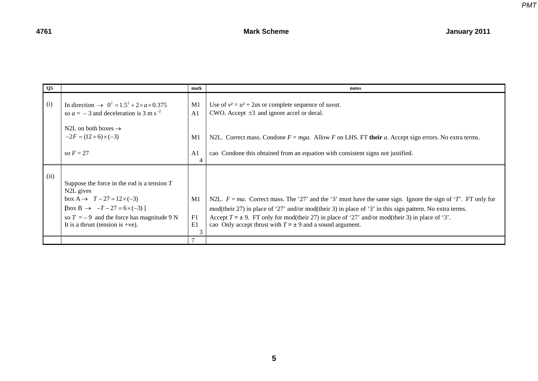| Q <sub>5</sub> |                                                                                                                                                                                                                                                               | mark                 | notes                                                                                                                                                                                                                                                                                                                                                                                                |
|----------------|---------------------------------------------------------------------------------------------------------------------------------------------------------------------------------------------------------------------------------------------------------------|----------------------|------------------------------------------------------------------------------------------------------------------------------------------------------------------------------------------------------------------------------------------------------------------------------------------------------------------------------------------------------------------------------------------------------|
| (i)            | In direction $\rightarrow$ 0 <sup>2</sup> = 1.5 <sup>2</sup> + 2 × a × 0.375<br>so $a = -3$ and deceleration is 3 m s <sup>-2</sup>                                                                                                                           | M1<br>A <sub>1</sub> | Use of $v^2 = u^2 + 2as$ or complete sequence of <i>suvat</i> .<br>CWO. Accept $\pm 3$ and ignore accel or decal.                                                                                                                                                                                                                                                                                    |
|                | N2L on both boxes $\rightarrow$<br>$-2F = (12+6) \times (-3)$                                                                                                                                                                                                 | M1                   | N2L. Correct mass. Condone $F = mga$ . Allow F on LHS. FT their a. Accept sign errors. No extra terms.                                                                                                                                                                                                                                                                                               |
|                | so $F = 27$                                                                                                                                                                                                                                                   | A <sub>1</sub><br>4  | cao Condone this obtained from an equation with consistent signs not justified.                                                                                                                                                                                                                                                                                                                      |
| (ii)           | Suppose the force in the rod is a tension $T$<br>N <sub>2</sub> L gives<br>box A $\rightarrow$ T – 27 = 12 $\times$ (-3)<br>[box B $\rightarrow -T - 27 = 6 \times (-3)$ ]<br>so $T = -9$ and the force has magnitude 9 N<br>It is a thrust (tension is +ve). | M1<br>F1<br>E1       | N2L. $F = ma$ . Correct mass. The '27' and the '3' must have the same sign. Ignore the sign of 'T'. FT only for<br>mod(their 27) in place of '27' and/or mod(their 3) in place of '3' in this sign pattern. No extra terms.<br>Accept $T = \pm 9$ . FT only for mod(their 27) in place of '27' and/or mod(their 3) in place of '3'.<br>cao Only accept thrust with $T = \pm 9$ and a sound argument. |
|                |                                                                                                                                                                                                                                                               |                      |                                                                                                                                                                                                                                                                                                                                                                                                      |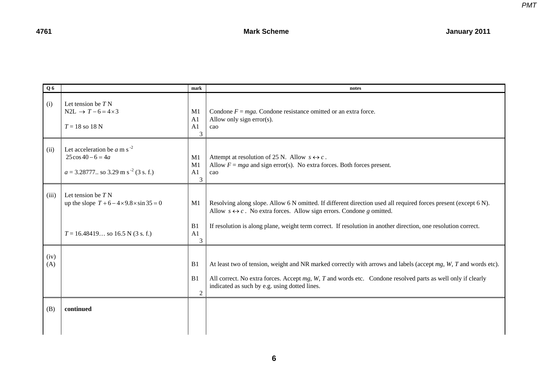| Q6          |                                                                                                                      | mark                                                    | notes                                                                                                                                                                                                                                                                                                                     |
|-------------|----------------------------------------------------------------------------------------------------------------------|---------------------------------------------------------|---------------------------------------------------------------------------------------------------------------------------------------------------------------------------------------------------------------------------------------------------------------------------------------------------------------------------|
| (i)         | Let tension be $TN$<br>$N2L \rightarrow T-6=4\times3$<br>$T = 18$ so 18 N                                            | M1<br>A <sub>1</sub><br>A <sub>1</sub><br>3             | Condone $F = mga$ . Condone resistance omitted or an extra force.<br>Allow only sign error(s).<br>cao                                                                                                                                                                                                                     |
| (ii)        | Let acceleration be a m s <sup>-2</sup><br>$25\cos 40 - 6 = 4a$<br>$a = 3.28777$ so 3.29 m s <sup>-2</sup> (3 s. f.) | M1<br>M1<br>A <sub>1</sub><br>3                         | Attempt at resolution of 25 N. Allow $s \leftrightarrow c$ .<br>Allow $F = mga$ and sign error(s). No extra forces. Both forces present.<br>cao                                                                                                                                                                           |
| (iii)       | Let tension be $TN$<br>up the slope $T + 6 - 4 \times 9.8 \times \sin 35 = 0$<br>$T = 16.48419$ so 16.5 N (3 s. f.)  | M1<br>B <sub>1</sub><br>A1                              | Resolving along slope. Allow 6 N omitted. If different direction used all required forces present (except 6 N).<br>Allow $s \leftrightarrow c$ . No extra forces. Allow sign errors. Condone g omitted.<br>If resolution is along plane, weight term correct. If resolution in another direction, one resolution correct. |
| (iv)<br>(A) |                                                                                                                      | 3<br>B <sub>1</sub><br>B <sub>1</sub><br>$\overline{2}$ | At least two of tension, weight and NR marked correctly with arrows and labels (accept $mg$ , $W$ , $T$ and words etc).<br>All correct. No extra forces. Accept $mg$ , W, T and words etc. Condone resolved parts as well only if clearly<br>indicated as such by e.g. using dotted lines.                                |
| (B)         | continued                                                                                                            |                                                         |                                                                                                                                                                                                                                                                                                                           |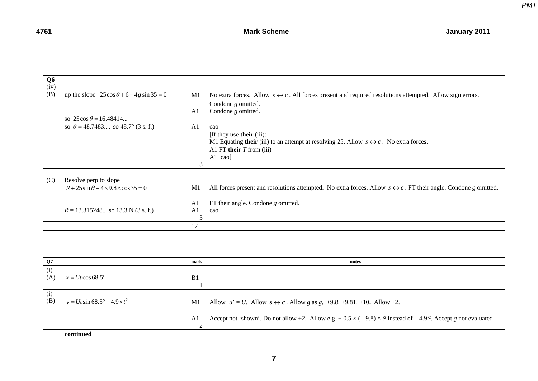*PMT*

| Q <sub>6</sub><br>(iv)<br>(B) | up the slope $25\cos\theta + 6 - 4g\sin 35 = 0$<br>so $25\cos\theta = 16.48414$<br>so $\theta = 48.7483$ so $48.7^{\circ}$ (3 s. f.) | M1<br>A <sub>1</sub><br>A <sub>1</sub><br>3 | No extra forces. Allow $s \leftrightarrow c$ . All forces present and required resolutions attempted. Allow sign errors.<br>Condone $g$ omitted.<br>Condone $g$ omitted.<br>cao<br>[If they use <b>their</b> (iii):<br>M1 Equating their (iii) to an attempt at resolving 25. Allow $s \leftrightarrow c$ . No extra forces.<br>A1 FT their $T$ from (iii)<br>A1 $\cos$ |
|-------------------------------|--------------------------------------------------------------------------------------------------------------------------------------|---------------------------------------------|-------------------------------------------------------------------------------------------------------------------------------------------------------------------------------------------------------------------------------------------------------------------------------------------------------------------------------------------------------------------------|
| (C)                           | Resolve perp to slope<br>$R + 25\sin\theta - 4 \times 9.8 \times \cos 35 = 0$<br>$R = 13.315248$ so 13.3 N (3 s. f.)                 | M1<br>A <sub>1</sub><br>A1<br>3             | All forces present and resolutions attempted. No extra forces. Allow $s \leftrightarrow c$ . FT their angle. Condone g omitted.<br>FT their angle. Condone $g$ omitted.<br>cao                                                                                                                                                                                          |
|                               |                                                                                                                                      | 17                                          |                                                                                                                                                                                                                                                                                                                                                                         |

| Q7         |                                             | mark         | notes                                                                                                                         |
|------------|---------------------------------------------|--------------|-------------------------------------------------------------------------------------------------------------------------------|
| (i)<br>(A) | $x = Ut \cos 68.5^\circ$                    | B1           |                                                                                                                               |
| (i)<br>(B) | $y = Ut \sin 68.5^{\circ} - 4.9 \times t^2$ | M1           | Allow 'u' = U. Allow $s \leftrightarrow c$ . Allow g as g, $\pm 9.8$ , $\pm 9.81$ , $\pm 10$ . Allow +2.                      |
|            |                                             | A <br>$\sim$ | Accept not 'shown'. Do not allow +2. Allow e.g + $0.5 \times (-9.8) \times t^2$ instead of $-4.9t^2$ . Accept g not evaluated |
|            | continued                                   |              |                                                                                                                               |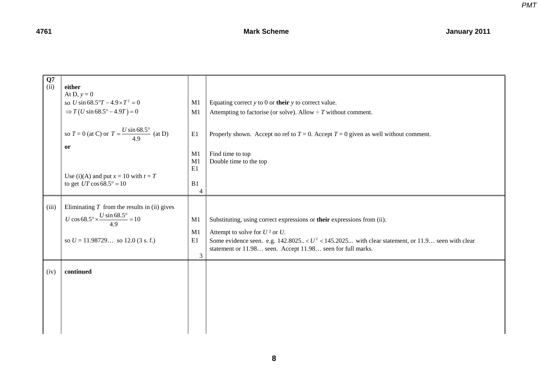*PMT*

| Q7<br>(ii)    | either<br>At D, $y = 0$<br>so <i>U</i> sin $68.5^{\circ}T - 4.9 \times T^2 = 0$<br>$\Rightarrow T(U \sin 68.5^{\circ} - 4.9T) = 0$<br>so $T = 0$ (at C) or $T = \frac{U \sin 68.5^{\circ}}{4.9}$ (at D)<br>or<br>Use (i)(A) and put $x = 10$ with $t = T$<br>to get $UT \cos 68.5^\circ = 10$ | M <sub>1</sub><br>M1<br>E1<br>M1<br>M1<br>E1<br>B1<br>$\overline{4}$ | Equating correct $y$ to 0 or their $y$ to correct value.<br>Attempting to factorise (or solve). Allow $\div T$ without comment.<br>Properly shown. Accept no ref to $T = 0$ . Accept $T = 0$ given as well without comment.<br>Find time to top<br>Double time to the top          |
|---------------|-----------------------------------------------------------------------------------------------------------------------------------------------------------------------------------------------------------------------------------------------------------------------------------------------|----------------------------------------------------------------------|------------------------------------------------------------------------------------------------------------------------------------------------------------------------------------------------------------------------------------------------------------------------------------|
| (iii)<br>(iv) | Eliminating $T$ from the results in (ii) gives<br>$U\cos 68.5^\circ \times \frac{U\sin 68.5^\circ}{4.9} = 10$<br>so $U = 11.98729$ so 12.0 (3 s. f.)<br>continued                                                                                                                             | M1<br>M1<br>E1<br>3                                                  | Substituting, using correct expressions or their expressions from (ii).<br>Attempt to solve for $U^2$ or $U$ .<br>Some evidence seen. e.g. $142.8025 < U^2 < 145.2025$ with clear statement, or 11.9 seen with clear<br>statement or 11.98 seen. Accept 11.98 seen for full marks. |
|               |                                                                                                                                                                                                                                                                                               |                                                                      |                                                                                                                                                                                                                                                                                    |